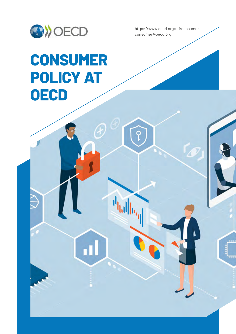

https://www.oecd.org/sti/consumer consumer@oecd.org

ш

q

ī.

## **CONSUMER POLICY AT OECD**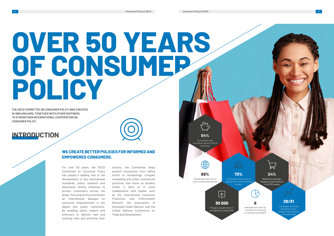For over 50 years, the OECD Committee on Consumer Policy has played a leading role in the development of key international standards, policy research and awareness raising initiatives to protect consumers across the globe. This unique forum facilitates an international dialogue on consumer empowerment in the digital and green transitions. By enabling policy makers and enforcers to identify new and evolving risks and prioritise their



actions, the Committee helps prevent consumers from falling victim to increasingly complex misleading and unfair commercial practices that know no borders online. It does so in close collaboration with bodies such as the International Consumer Protection and Enforcement Network, the Association of Southeast Asian Nations, and the United Nations Conference on Trade and Development.

#### **WE CREATE BETTER POLICIES FOR INFORMED AND EMPOWERED CONSUMERS.**

### **INTRODUCTION**



**THE OECD COMMITTEE ON CONSUMER POLICY WAS CREATED IN 1969 AND AIMS, TOGETHER WITH OTHER PARTNERS, TO STRENGTHEN INTERNATIONAL COOPERATION ON CONSUMER POLICY.**

# **OVER 50 YEARS OF CONSUMER POLICY**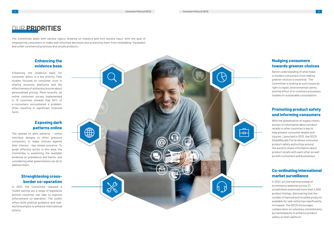# FRIORITIES<br> **A** Consumer Policy at OECD Consumer Policy at OECD<br> **A** Consumer Policy at OECD Consumer Policy at OECD Consumer Policy at OECD Consumer Policy at OECD Consumer Policy at OECD Consumer Policy at OECD Consumer



In 2021, an international sweep of ecommerce websites across 21 jurisdictions examined more than 4,000 product listings, discovering that the number of banned and recalled products available for sale online has significantly increased. The OECD encourages collaboration on voluntary commitments by marketplaces to enhance product safety on their platform.

#### **Co-ordinating international market surveillance**

With the globalisation of supply chains, access to information about product recalls in other countries is key to help prevent consumer deaths and injuries. Launched in 2012, the OECD GlobalRecalls Portal allows consumer product safety authorities around the world to share information about product recalls with each other as well as with consumers and businesses.

#### **Promoting product safety and informing consumers**

The spread of dark patterns - online interface designs to often pressure consumers to make choices against their interest - has raised concerns. To guide effective action in this area, the Committee is examining the available evidence on prevalence and harms, and considering what governments can do to address them.

Better understanding of what helps or hinders consumers from making greener choices is essential. The Committee is looking at such issues as right to repair, environmental claims, and the effect of e-commerce business models on sustainable consumption.

#### **Nudging consumers towards greener choices**

In 2021, the Committee released a Toolkit setting out a range of legislative actions countries can take to improve enforcement co-operation. The toolkit offers both pratical guidance and realworld examples to enhance international efforts.

#### **Strenghtening crossborder co-operation**

#### **Exposing dark patterns online**

Enhancing the evidence base for consumer policy is a key priority. Past studies focused on consumer trust in sharing economy platforms and the effectiveness of online disclosures about personalised pricing. More recently, an online consumer survey implemented in 13 countries showed that 50% of e-consumers encountered a problem, often resulting in significant financial harm.

#### **Enhancing the evidence base**

The Committee deals with various topics, drawing on industry and civil society input, with the goal of empowering consumers to make well-informed decisions and protecting them from misleading, fraudulent and unfair commercial practices and unsafe products.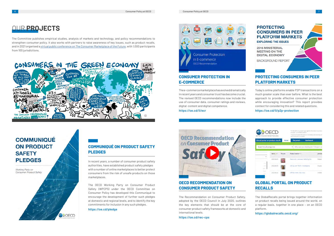The GlobalRecalls portal brings together information on product recalls being issued around the world, on a regular basis, together in one place – on an OECD platform.

**https://globalrecalls.oecd.org/**

#### **GLOBAL PORTAL ON PRODUCT RECALLS**

The Recommendation on Consumer Product Safety, adopted by the OECD Council in July 2020, outlines the key elements that should be at the core of consumer product safety frameworks at domestic and international levels.

**https://oe.cd/rec-cps**

#### **PROTECTING CONSUMERS IN PEER PLATFORM MARKETS EXPLORING THE ISSUES**

**2016 MINISTERIAL MEETING ON THE DIGITAL ECONOMY** 

**BACKGROUND REPORT** 

#### **OECD RECOMMENDATION ON CONSUMER PRODUCT SAFETY**

Today's online platforms enable P2P transactions on a much greater scale than ever before. What is the best approach to provide effective consumer protection while encouraging innovation? This report provides context for considering this and related questions.

**https://oe.cd/il/p2p-protection**

| <b>OBCD</b><br>BETTER POLICIES FOR BETTER LIVES.<br>Global portal on product recalls<br>Home |            |         | The Globalitzcals pintal brings regarber information on product<br>ant pade - on an DECD platform.<br>The portal includes information on mandatory and voluntary con<br>nece made publicly available. |                                        |          |
|----------------------------------------------------------------------------------------------|------------|---------|-------------------------------------------------------------------------------------------------------------------------------------------------------------------------------------------------------|----------------------------------------|----------|
|                                                                                              |            |         | The portal -                                                                                                                                                                                          | Dashboard                              |          |
| Search in all categories                                                                     |            |         |                                                                                                                                                                                                       | What are you looking for ? (English or |          |
|                                                                                              | Date = A   | Picture | Product name w A                                                                                                                                                                                      |                                        | Jurisdic |
| 243                                                                                          | 2022-03-03 |         | Mastic doll : Unknown : Bella City Chic.                                                                                                                                                              |                                        | Poland   |
| 710<br>John Fr                                                                               | 2022-04-03 |         | Soft toy : MY TEDOY : Smeda Barna                                                                                                                                                                     |                                        | Croatia  |
| 3 p.n.s.<br>C.DT                                                                             | 2022-03-03 |         | Soft toy : NHID : RAG DOLL.                                                                                                                                                                           |                                        | croatta  |

#### **PROTECTING CONSUMERS IN PEER PLATFORM MARKETS**

The e-commerce marketplace has evolved dramatically in recent years and consumer trust has become crucial. The revised OECD recommendations now include the use of consumer data, consumer ratings and reviews, digital content and digital competence. **https://oe.cd/il/ecr**



#### **CONSUMER PROTECTION IN E-COMMERCE**

In recent years, a number of consumer product safety authorities, have established product safety pledges with a number of online marketplaces to better protect consumers from the risk of unsafe products on those marketplaces.

The OECD Working Party on Consumer Product Safety (WPCPS) under the OECD Committee on Consumer Policy has developed this Communiqué to encourage the development of further such pledges at domestic and regional levels, and to identify the key commitments for inclusion in any such pledges.

**https://oe.cd/pledge**

**ON** OECD



#### **COMMUNIQUÉ ON PRODUCT SAFETY PLEDGES**

The Committee publishes empirical studies, analysis of markets and technology, and policy recommendations to strengthen consumer policy. It also works with partners to raise awareness of key issues, such as product recalls, and in 2021 organised a [virtual public conference on The Consumer Marketplace of the Future](https://oecd-events.org/consumer-marketplace-of-the-future/), with 1,000 participants from 100 jurisdictions.



### **COMMUNIQUÉ ON PRODUCT SAFETY PLEDGES**

Working Party on Consumer Product Safety

## OUR **PROJECTS**